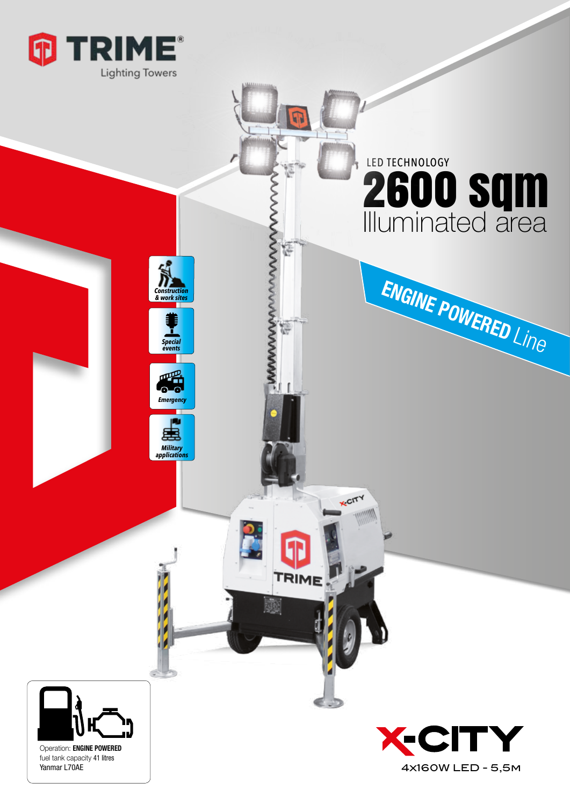

*& work sites*

*Special events*

*Military applications*

*Emergency*

## **PRINCIPAL PRINCIPAL POWERED LINE** 2600 sqm Illuminated area LED TECHNOLOGY

ENGINE POWERED Line



Operation: ENGINE POWERED fuel tank capacity 41 litres